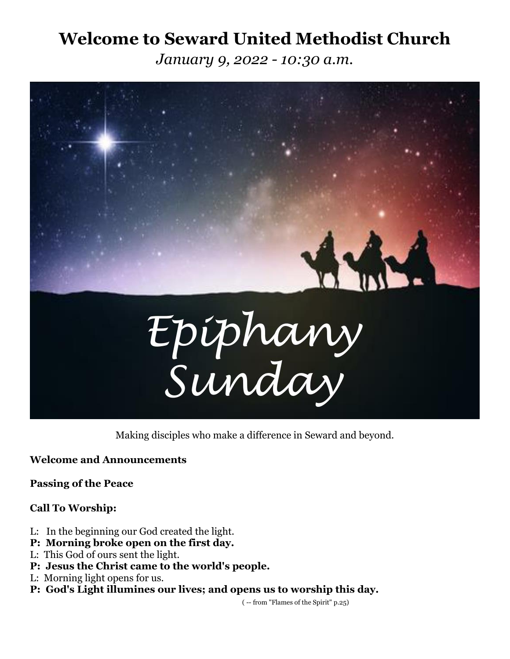# **Welcome to Seward United Methodist Church**

*January 9, 2022 - 10:30 a.m.*



Making disciples who make a difference in Seward and beyond.

**Welcome and Announcements**

**Passing of the Peace**

# **Call To Worship:**

- L: In the beginning our God created the light.
- **P: Morning broke open on the first day.**
- L: This God of ours sent the light.
- **P: Jesus the Christ came to the world's people.**
- L: Morning light opens for us.
- **P: God's Light illumines our lives; and opens us to worship this day.**

( -- from "Flames of the Spirit" p.25)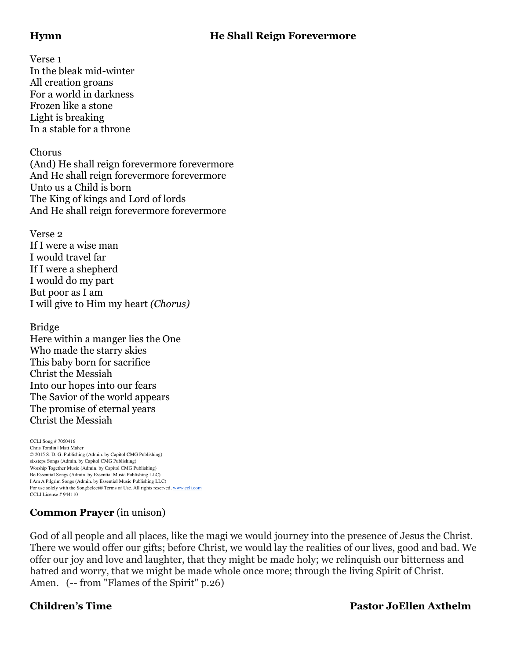# **Hymn He Shall Reign Forevermore**

Verse 1 In the bleak mid-winter All creation groans For a world in darkness Frozen like a stone Light is breaking In a stable for a throne

# Chorus

(And) He shall reign forevermore forevermore And He shall reign forevermore forevermore Unto us a Child is born The King of kings and Lord of lords And He shall reign forevermore forevermore

Verse 2 If I were a wise man I would travel far If I were a shepherd I would do my part But poor as I am I will give to Him my heart *(Chorus)*

Bridge Here within a manger lies the One Who made the starry skies This baby born for sacrifice Christ the Messiah Into our hopes into our fears The Savior of the world appears The promise of eternal years Christ the Messiah

CCLI Song # 7050416 Chris Tomlin | Matt Maher © 2015 S. D. G. Publishing (Admin. by Capitol CMG Publishing) sixsteps Songs (Admin. by Capitol CMG Publishing) Worship Together Music (Admin. by Capitol CMG Publishing) Be Essential Songs (Admin. by Essential Music Publishing LLC) I Am A Pilgrim Songs (Admin. by Essential Music Publishing LLC) For use solely with the SongSelect® Terms of Use. All rights reserved. [www.ccli.com](http://www.ccli.com/) CCLI License # 944110

# **Common Prayer** (in unison)

God of all people and all places, like the magi we would journey into the presence of Jesus the Christ. There we would offer our gifts; before Christ, we would lay the realities of our lives, good and bad. We offer our joy and love and laughter, that they might be made holy; we relinquish our bitterness and hatred and worry, that we might be made whole once more; through the living Spirit of Christ. Amen. (-- from "Flames of the Spirit" p.26)

# **Children's Time Pastor JoEllen Axthelm**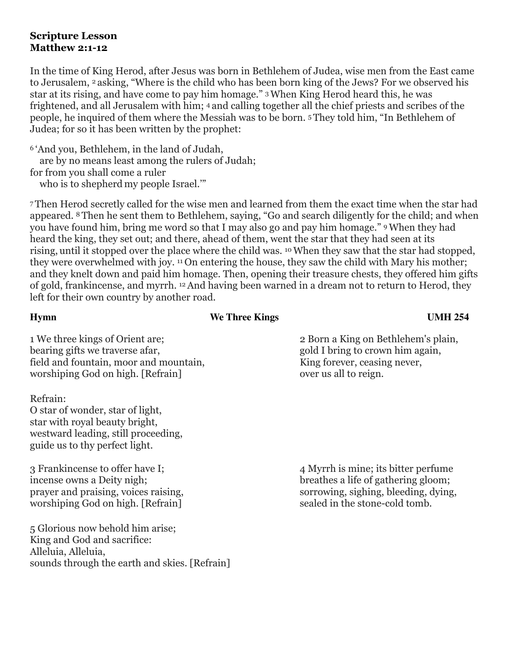# **Scripture Lesson Matthew 2:1-12**

In the time of King Herod, after Jesus was born in Bethlehem of Judea, wise men from the East came to Jerusalem, <sup>2</sup> asking, "Where is the child who has been born king of the Jews? For we observed his star at its rising, and have come to pay him homage." 3When King Herod heard this, he was frightened, and all Jerusalem with him; <sup>4</sup> and calling together all the chief priests and scribes of the people, he inquired of them where the Messiah was to be born. <sup>5</sup> They told him, "In Bethlehem of Judea; for so it has been written by the prophet:

<sup>6</sup> 'And you, Bethlehem, in the land of Judah,

are by no means least among the rulers of Judah;

for from you shall come a ruler

who is to shepherd my people Israel.'"

<sup>7</sup> Then Herod secretly called for the wise men and learned from them the exact time when the star had appeared. <sup>8</sup> Then he sent them to Bethlehem, saying, "Go and search diligently for the child; and when you have found him, bring me word so that I may also go and pay him homage." 9When they had heard the king, they set out; and there, ahead of them, went the star that they had seen at its rising, until it stopped over the place where the child was. 10When they saw that the star had stopped, they were overwhelmed with joy. <sup>11</sup> On entering the house, they saw the child with Mary his mother; and they knelt down and paid him homage. Then, opening their treasure chests, they offered him gifts of gold, frankincense, and myrrh. 12And having been warned in a dream not to return to Herod, they left for their own country by another road.

# **Hymn** We Three Kings UMH 254

1 We three kings of Orient are; 2 Born a King on Bethlehem's plain, bearing gifts we traverse afar, gold I bring to crown him again, field and fountain, moor and mountain, the mass of the King forever, ceasing never, worshiping God on high. [Refrain] over us all to reign.

Refrain: O star of wonder, star of light, star with royal beauty bright, westward leading, still proceeding, guide us to thy perfect light.

incense owns a Deity nigh; breathes a life of gathering gloom; worshiping God on high. [Refrain] sealed in the stone-cold tomb.

5 Glorious now behold him arise; King and God and sacrifice: Alleluia, Alleluia, sounds through the earth and skies. [Refrain]

3 Frankincense to offer have I; 4 Myrrh is mine; its bitter perfume prayer and praising, voices raising, sorrowing, sighing, bleeding, dying, prayer and praising, voices raising,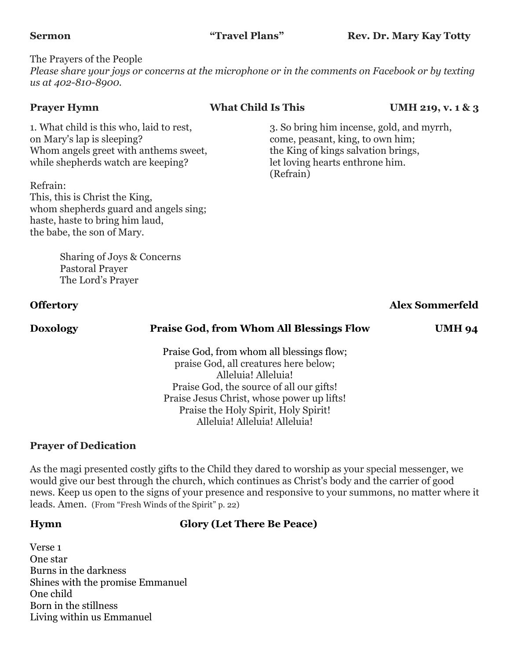The Prayers of the People *Please share your joys or concerns at the microphone or in the comments on Facebook or by texting us at 402-810-8900.*

on Mary's lap is sleeping? come, peasant, king, to own him; Whom angels greet with anthems sweet, the King of kings salvation brings, while shepherds watch are keeping? let loving hearts enthrone him.

Refrain: This, this is Christ the King, whom shepherds guard and angels sing; haste, haste to bring him laud, the babe, the son of Mary.

> Sharing of Joys & Concerns Pastoral Prayer The Lord's Prayer

# **Prayer Hymn What Child Is This UMH 219, v. 1 & 3**

1. What child is this who, laid to rest, 3. So bring him incense, gold, and myrrh, (Refrain)

# **Offertory Alex Sommerfeld**

# **Doxology Praise God, from Whom All Blessings Flow UMH 94**

Praise God, from whom all blessings flow; praise God, all creatures here below; Alleluia! Alleluia! Praise God, the source of all our gifts! Praise Jesus Christ, whose power up lifts! Praise the Holy Spirit, Holy Spirit! Alleluia! Alleluia! Alleluia!

# **Prayer of Dedication**

As the magi presented costly gifts to the Child they dared to worship as your special messenger, we would give our best through the church, which continues as Christ's body and the carrier of good news. Keep us open to the signs of your presence and responsive to your summons, no matter where it leads. Amen. (From "Fresh Winds of the Spirit" p. 22)

# **Hymn Glory (Let There Be Peace)**

Verse 1 One star Burns in the darkness Shines with the promise Emmanuel One child Born in the stillness Living within us Emmanuel